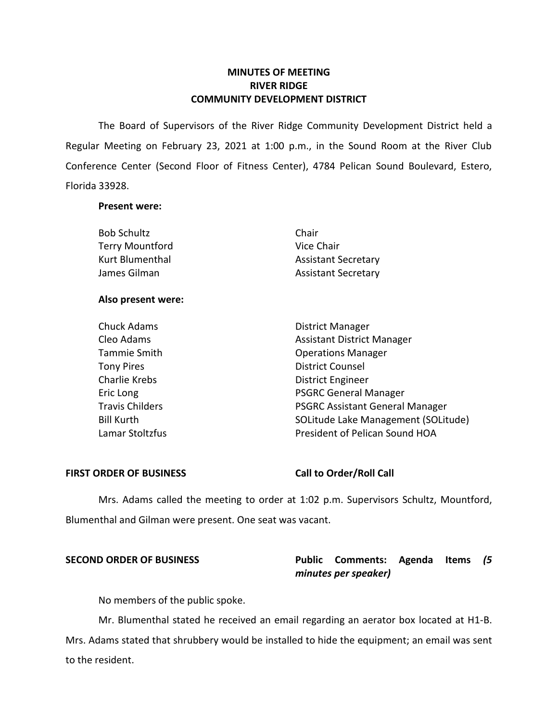# **MINUTES OF MEETING RIVER RIDGE COMMUNITY DEVELOPMENT DISTRICT**

 The Board of Supervisors of the River Ridge Community Development District held a Regular Meeting on February 23, 2021 at 1:00 p.m., in the Sound Room at the River Club Conference Center (Second Floor of Fitness Center), 4784 Pelican Sound Boulevard, Estero, Florida 33928.

### **Present were:**

| <b>Bob Schultz</b>     | Chair                             |
|------------------------|-----------------------------------|
| <b>Terry Mountford</b> | Vice Chair                        |
| Kurt Blumenthal        | <b>Assistant Secretary</b>        |
| James Gilman           | <b>Assistant Secretary</b>        |
| Also present were:     |                                   |
| <b>Chuck Adams</b>     | District Manager                  |
| Cleo Adams             | <b>Assistant District Manager</b> |
| Tammie Smith           | <b>Operations Manager</b>         |
| <b>Tony Pires</b>      | <b>District Counsel</b>           |

Eric Long **PSGRC** General Manager Travis Childers **PSGRC Assistant General Manager** Lamar Stoltzfus **President of Pelican Sound HOA** Charlie Krebs **District Engineer** Bill Kurth SOLitude Lake Management (SOLitude)

### FIRST ORDER OF BUSINESS Call to Order/Roll Call

 Mrs. Adams called the meeting to order at 1:02 p.m. Supervisors Schultz, Mountford, Blumenthal and Gilman were present. One seat was vacant.

# **SECOND ORDER OF BUSINESS Public Comments: Agenda Items** *(5 minutes per speaker)*

No members of the public spoke.

 Mr. Blumenthal stated he received an email regarding an aerator box located at H1-B. Mrs. Adams stated that shrubbery would be installed to hide the equipment; an email was sent to the resident.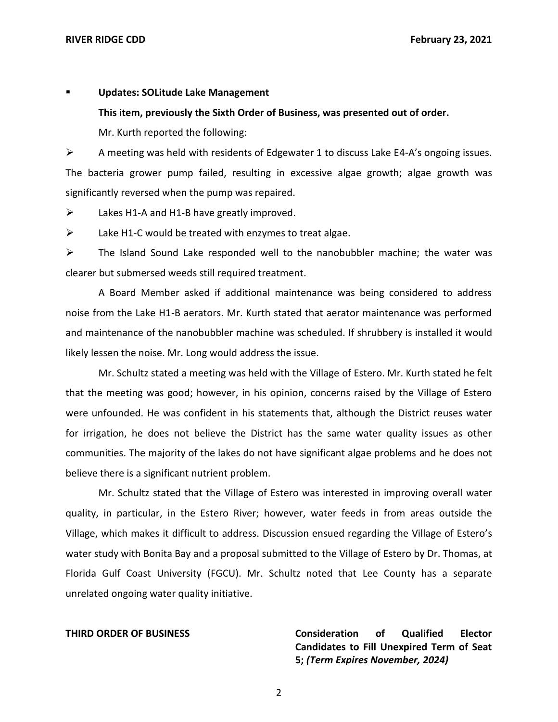### ▪ **Updates: SOLitude Lake Management**

### **This item, previously the Sixth Order of Business, was presented out of order.**

Mr. Kurth reported the following:

 $\triangleright$  A meeting was held with residents of Edgewater 1 to discuss Lake E4-A's ongoing issues. significantly reversed when the pump was repaired. The bacteria grower pump failed, resulting in excessive algae growth; algae growth was

 $\triangleright$  Lakes H1-A and H1-B have greatly improved.

 $\triangleright$  Lake H1-C would be treated with enzymes to treat algae.

 $\triangleright$  The Island Sound Lake responded well to the nanobubbler machine; the water was clearer but submersed weeds still required treatment.

 A Board Member asked if additional maintenance was being considered to address noise from the Lake H1-B aerators. Mr. Kurth stated that aerator maintenance was performed and maintenance of the nanobubbler machine was scheduled. If shrubbery is installed it would likely lessen the noise. Mr. Long would address the issue.

 Mr. Schultz stated a meeting was held with the Village of Estero. Mr. Kurth stated he felt that the meeting was good; however, in his opinion, concerns raised by the Village of Estero were unfounded. He was confident in his statements that, although the District reuses water for irrigation, he does not believe the District has the same water quality issues as other communities. The majority of the lakes do not have significant algae problems and he does not believe there is a significant nutrient problem.

 Mr. Schultz stated that the Village of Estero was interested in improving overall water quality, in particular, in the Estero River; however, water feeds in from areas outside the Village, which makes it difficult to address. Discussion ensued regarding the Village of Estero's water study with Bonita Bay and a proposal submitted to the Village of Estero by Dr. Thomas, at Florida Gulf Coast University (FGCU). Mr. Schultz noted that Lee County has a separate unrelated ongoing water quality initiative.

**Consideration Candidates to Fill Unexpired Term of Seat**   **5;** *(Term Expires November, 2024)*  **THIRD ORDER OF BUSINESS Consideration of Qualified Elector** 

2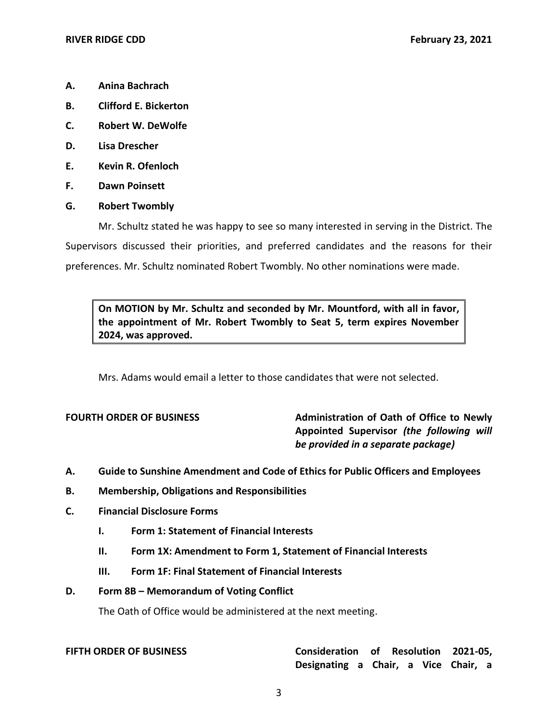- **A. Anina Bachrach**
- **B. Clifford E. Bickerton**
- **C. Robert W. DeWolfe**
- **D. Lisa Drescher**
- **E. Kevin R. Ofenloch**
- **F. Dawn Poinsett**
- **G. Robert Twombly**

 Mr. Schultz stated he was happy to see so many interested in serving in the District. The Supervisors discussed their priorities, and preferred candidates and the reasons for their preferences. Mr. Schultz nominated Robert Twombly. No other nominations were made.

 **On MOTION by Mr. Schultz and seconded by Mr. Mountford, with all in favor, the appointment of Mr. Robert Twombly to Seat 5, term expires November 2024, was approved.** 

Mrs. Adams would email a letter to those candidates that were not selected.

**FOURTH ORDER OF BUSINESS** Administration of Oath of Office to Newly  **Appointed Supervisor** *(the following will be provided in a separate package)* 

- **A. Guide to Sunshine Amendment and Code of Ethics for Public Officers and Employees**
- **B. Membership, Obligations and Responsibilities**
- **C. Financial Disclosure Forms** 
	- **I. Form 1: Statement of Financial Interests**
	- **II. Form 1X: Amendment to Form 1, Statement of Financial Interests**
	- **III. Form 1F: Final Statement of Financial Interests**

### **D. Form 8B – Memorandum of Voting Conflict**

The Oath of Office would be administered at the next meeting.

| <b>FIFTH ORDER OF BUSINESS</b> |  |
|--------------------------------|--|
|--------------------------------|--|

# **FIFTH ORDER OF BUSINESS Consideration of Resolution 2021-05, Designating a Chair, a Vice Chair, a**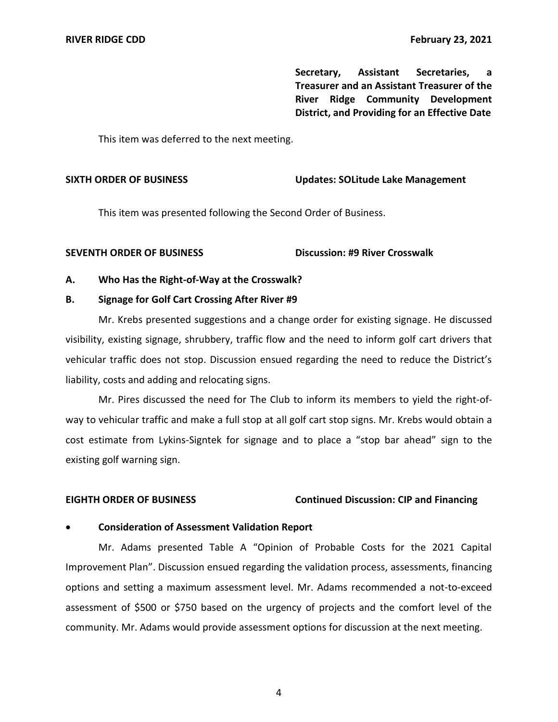**Secretary, Assistant Secretaries, a Treasurer and an Assistant Treasurer of the River Ridge Community Development District, and Providing for an Effective Date** 

This item was deferred to the next meeting.

### **SIXTH ORDER OF BUSINESS Updates: SOLitude Lake Management**

This item was presented following the Second Order of Business.

### **SEVENTH ORDER OF BUSINESS Discussion: #9 River Crosswalk**

### **A. Who Has the Right-of-Way at the Crosswalk?**

### **B. Signage for Golf Cart Crossing After River #9**

 Mr. Krebs presented suggestions and a change order for existing signage. He discussed visibility, existing signage, shrubbery, traffic flow and the need to inform golf cart drivers that vehicular traffic does not stop. Discussion ensued regarding the need to reduce the District's liability, costs and adding and relocating signs.

 Mr. Pires discussed the need for The Club to inform its members to yield the right-of- way to vehicular traffic and make a full stop at all golf cart stop signs. Mr. Krebs would obtain a cost estimate from Lykins-Signtek for signage and to place a "stop bar ahead" sign to the existing golf warning sign.

### **EIGHTH ORDER OF BUSINESS Continued Discussion: CIP and Financing**

### • **Consideration of Assessment Validation Report**

 Mr. Adams presented Table A "Opinion of Probable Costs for the 2021 Capital Improvement Plan". Discussion ensued regarding the validation process, assessments, financing assessment of \$500 or \$750 based on the urgency of projects and the comfort level of the community. Mr. Adams would provide assessment options for discussion at the next meeting. options and setting a maximum assessment level. Mr. Adams recommended a not-to-exceed

4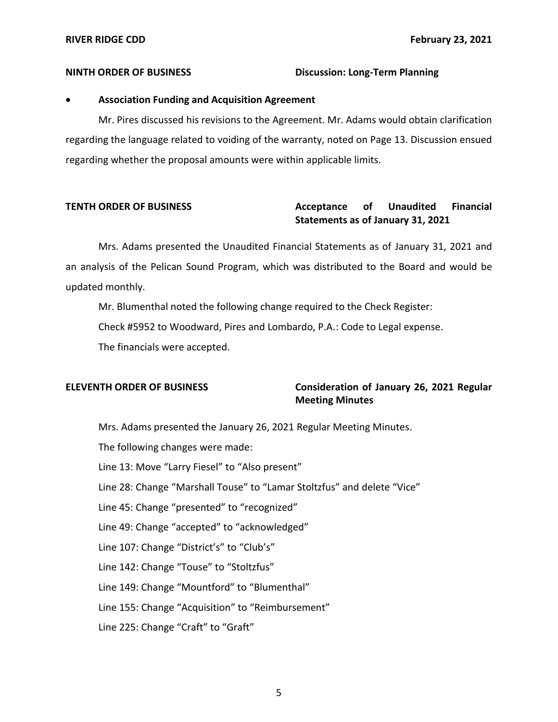### **NINTH ORDER OF BUSINESS Discussion: Long-Term Planning**

# • **Association Funding and Acquisition Agreement**

 regarding the language related to voiding of the warranty, noted on Page 13. Discussion ensued regarding whether the proposal amounts were within applicable limits. Mr. Pires discussed his revisions to the Agreement. Mr. Adams would obtain clarification

### Acceptance of  **Statements as of January 31, 2021 TENTH ORDER OF BUSINESS THE SECTAN Acceptance of Unaudited Financial**

 an analysis of the Pelican Sound Program, which was distributed to the Board and would be Mrs. Adams presented the Unaudited Financial Statements as of January 31, 2021 and updated monthly.

Mr. Blumenthal noted the following change required to the Check Register:

Check #5952 to Woodward, Pires and Lombardo, P.A.: Code to Legal expense.

The financials were accepted.

# **ELEVENTH ORDER OF BUSINESS Consideration of January 26, 2021 Regular Meeting Minutes**

Mrs. Adams presented the January 26, 2021 Regular Meeting Minutes.

The following changes were made:

Line 13: Move "Larry Fiesel" to "Also present"

Line 28: Change "Marshall Touse" to "Lamar Stoltzfus" and delete "Vice"

Line 45: Change "presented" to "recognized"

Line 49: Change "accepted" to "acknowledged"

Line 107: Change "District's" to "Club's"

Line 142: Change "Touse" to "Stoltzfus"

Line 149: Change "Mountford" to "Blumenthal"

Line 155: Change "Acquisition" to "Reimbursement"

Line 225: Change "Craft" to "Graft"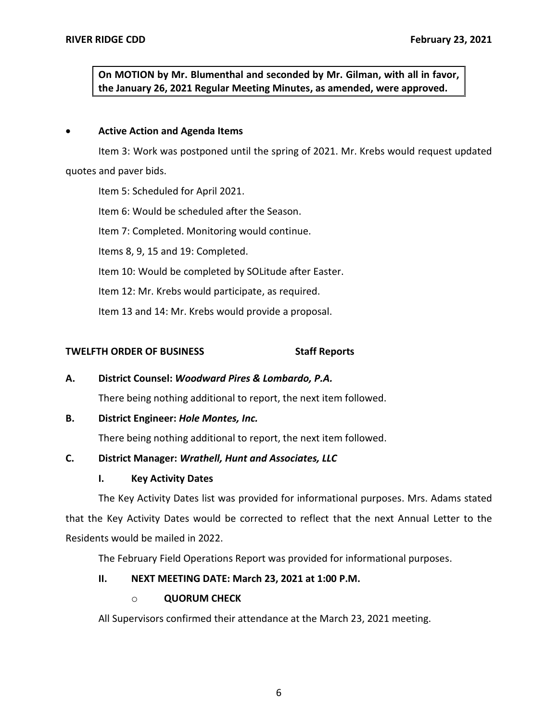**On MOTION by Mr. Blumenthal and seconded by Mr. Gilman, with all in favor, the January 26, 2021 Regular Meeting Minutes, as amended, were approved.** 

# • **Active Action and Agenda Items**

 Item 3: Work was postponed until the spring of 2021. Mr. Krebs would request updated quotes and paver bids.

Item 5: Scheduled for April 2021.

Item 6: Would be scheduled after the Season.

Item 7: Completed. Monitoring would continue.

Items 8, 9, 15 and 19: Completed.

Item 10: Would be completed by SOLitude after Easter.

Item 12: Mr. Krebs would participate, as required.

Item 13 and 14: Mr. Krebs would provide a proposal.

# **TWELFTH ORDER OF BUSINESS Staff Reports**

 **A. District Counsel:** *Woodward Pires & Lombardo, P.A.* 

There being nothing additional to report, the next item followed.

## **B. District Engineer:** *Hole Montes, Inc.*

There being nothing additional to report, the next item followed.

# **C. District Manager:** *Wrathell, Hunt and Associates, LLC*

## **I. Key Activity Dates**

 The Key Activity Dates list was provided for informational purposes. Mrs. Adams stated that the Key Activity Dates would be corrected to reflect that the next Annual Letter to the Residents would be mailed in 2022.

The February Field Operations Report was provided for informational purposes.

# **II. NEXT MEETING DATE: March 23, 2021 at 1:00 P.M.**

## o **QUORUM CHECK**

All Supervisors confirmed their attendance at the March 23, 2021 meeting.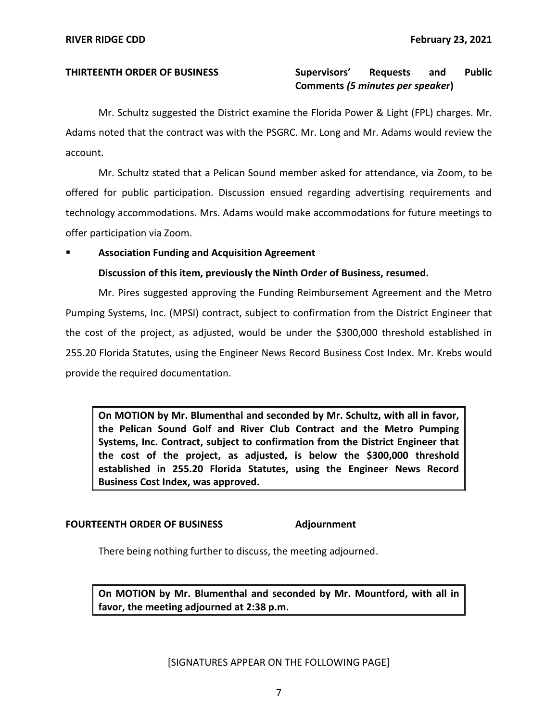### and  **Comments** *(5 minutes per speaker***) THIRTEENTH ORDER OF BUSINESS Supervisors' Requests and Public**

 Mr. Schultz suggested the District examine the Florida Power & Light (FPL) charges. Mr. Adams noted that the contract was with the PSGRC. Mr. Long and Mr. Adams would review the account.

 Mr. Schultz stated that a Pelican Sound member asked for attendance, via Zoom, to be offered for public participation. Discussion ensued regarding advertising requirements and technology accommodations. Mrs. Adams would make accommodations for future meetings to offer participation via Zoom.

# ▪ **Association Funding and Acquisition Agreement**

 **Discussion of this item, previously the Ninth Order of Business, resumed.** 

 Mr. Pires suggested approving the Funding Reimbursement Agreement and the Metro Pumping Systems, Inc. (MPSI) contract, subject to confirmation from the District Engineer that the cost of the project, as adjusted, would be under the \$300,000 threshold established in 255.20 Florida Statutes, using the Engineer News Record Business Cost Index. Mr. Krebs would provide the required documentation.

 **On MOTION by Mr. Blumenthal and seconded by Mr. Schultz, with all in favor, the Pelican Sound Golf and River Club Contract and the Metro Pumping Systems, Inc. Contract, subject to confirmation from the District Engineer that the cost of the project, as adjusted, is below the \$300,000 threshold established in 255.20 Florida Statutes, using the Engineer News Record Business Cost Index, was approved.** 

### **FOURTEENTH ORDER OF BUSINESS Adjournment**

There being nothing further to discuss, the meeting adjourned.

 **On MOTION by Mr. Blumenthal and seconded by Mr. Mountford, with all in favor, the meeting adjourned at 2:38 p.m.**